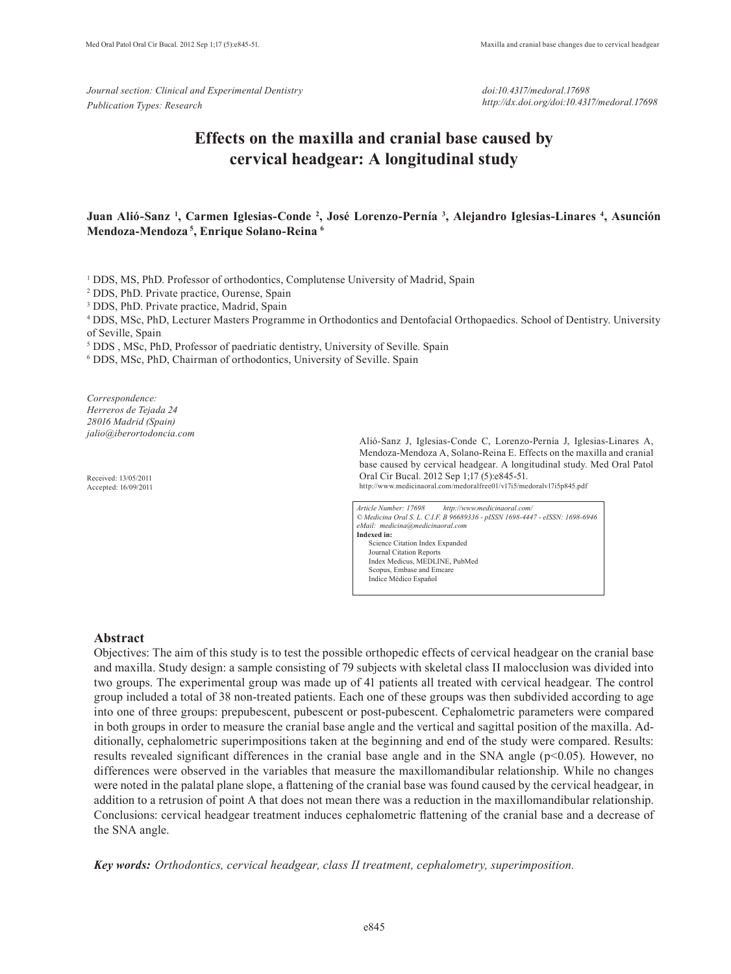*Journal section: Clinical and Experimental Dentistry Publication Types: Research*

*doi:10.4317/medoral.17698 http://dx.doi.org/doi:10.4317/medoral.17698*

# **Effects on the maxilla and cranial base caused by cervical headgear: A longitudinal study**

# **Juan Alió-Sanz 1 , Carmen Iglesias-Conde 2 , José Lorenzo-Pernía 3 , Alejandro Iglesias-Linares 4 , Asunción Mendoza-Mendoza 5, Enrique Solano-Reina 6**

<sup>1</sup> DDS, MS, PhD. Professor of orthodontics, Complutense University of Madrid, Spain

2 DDS, PhD. Private practice, Ourense, Spain

3 DDS, PhD. Private practice, Madrid, Spain

4 DDS, MSc, PhD, Lecturer Masters Programme in Orthodontics and Dentofacial Orthopaedics. School of Dentistry. University of Seville, Spain

<sup>5</sup> DDS, MSc, PhD, Professor of paedriatic dentistry, University of Seville. Spain

6 DDS, MSc, PhD, Chairman of orthodontics, University of Seville. Spain

*Correspondence: Herreros de Tejada 24 28016 Madrid (Spain) jalio@iberortodoncia.com*

Received: 13/05/2011 Accepted: 16/09/2011

Alió-Sanz J, Iglesias-Conde C, Lorenzo-Pernía J, Iglesias-Linares A, Mendoza-Mendoza A, Solano-Reina E. Effects on the maxilla and cranial base caused by cervical headgear. A longitudinal study. Med Oral Patol Oral Cir Bucal. 2012 Sep 1;17 (5):e845-51. http://www.medicinaoral.com/medoralfree01/v17i5/medoralv17i5p845.pdf

*Article Number: 17698 http://www.medicinaoral.com/ © Medicina Oral S. L. C.I.F. B 96689336 - pISSN 1698-4447 - eISSN: 1698-6946 eMail: medicina@medicinaoral.com*  **Indexed in:**  Science Citation Index Expanded Journal Citation Reports Index Medicus, MEDLINE, PubMed Scopus, Embase and Emcare Indice Médico Español

#### **Abstract**

Objectives: The aim of this study is to test the possible orthopedic effects of cervical headgear on the cranial base and maxilla. Study design: a sample consisting of 79 subjects with skeletal class II malocclusion was divided into two groups. The experimental group was made up of 41 patients all treated with cervical headgear. The control group included a total of 38 non-treated patients. Each one of these groups was then subdivided according to age into one of three groups: prepubescent, pubescent or post-pubescent. Cephalometric parameters were compared in both groups in order to measure the cranial base angle and the vertical and sagittal position of the maxilla. Additionally, cephalometric superimpositions taken at the beginning and end of the study were compared. Results: results revealed significant differences in the cranial base angle and in the SNA angle  $(p<0.05)$ . However, no differences were observed in the variables that measure the maxillomandibular relationship. While no changes were noted in the palatal plane slope, a flattening of the cranial base was found caused by the cervical headgear, in addition to a retrusion of point A that does not mean there was a reduction in the maxillomandibular relationship. Conclusions: cervical headgear treatment induces cephalometric flattening of the cranial base and a decrease of the SNA angle.

*Key words: Orthodontics, cervical headgear, class II treatment, cephalometry, superimposition.*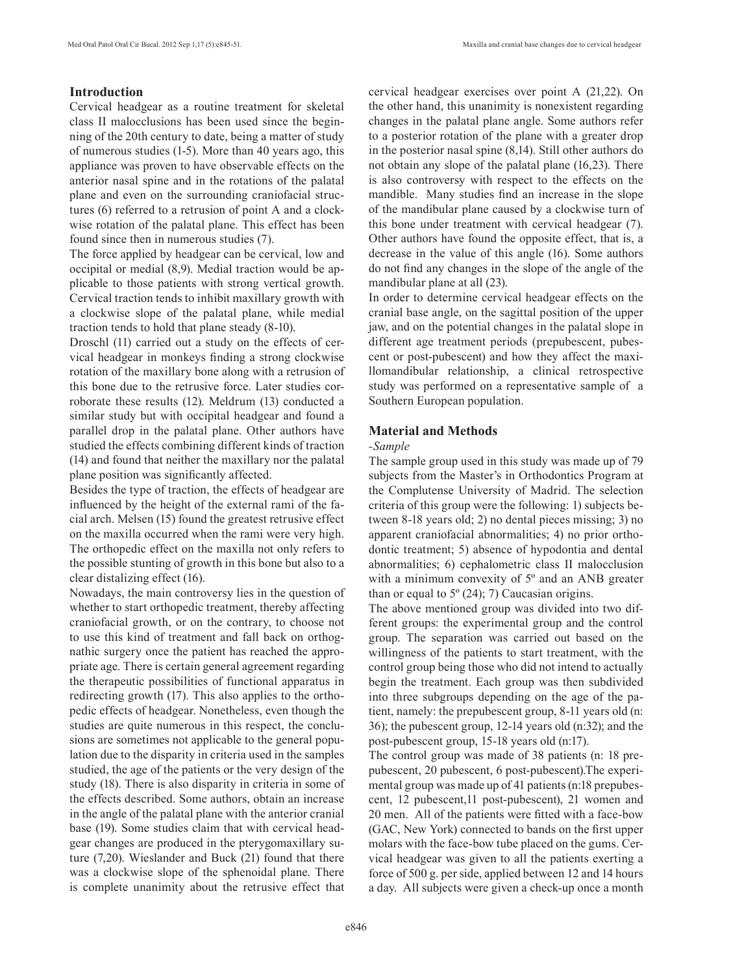# **Introduction**

Cervical headgear as a routine treatment for skeletal class II malocclusions has been used since the beginning of the 20th century to date, being a matter of study of numerous studies (1-5). More than 40 years ago, this appliance was proven to have observable effects on the anterior nasal spine and in the rotations of the palatal plane and even on the surrounding craniofacial structures (6) referred to a retrusion of point A and a clockwise rotation of the palatal plane. This effect has been found since then in numerous studies (7).

The force applied by headgear can be cervical, low and occipital or medial (8,9). Medial traction would be applicable to those patients with strong vertical growth. Cervical traction tends to inhibit maxillary growth with a clockwise slope of the palatal plane, while medial traction tends to hold that plane steady (8-10).

Droschl (11) carried out a study on the effects of cervical headgear in monkeys finding a strong clockwise rotation of the maxillary bone along with a retrusion of this bone due to the retrusive force. Later studies corroborate these results (12). Meldrum (13) conducted a similar study but with occipital headgear and found a parallel drop in the palatal plane. Other authors have studied the effects combining different kinds of traction (14) and found that neither the maxillary nor the palatal plane position was significantly affected.

Besides the type of traction, the effects of headgear are influenced by the height of the external rami of the facial arch. Melsen (15) found the greatest retrusive effect on the maxilla occurred when the rami were very high. The orthopedic effect on the maxilla not only refers to the possible stunting of growth in this bone but also to a clear distalizing effect (16).

Nowadays, the main controversy lies in the question of whether to start orthopedic treatment, thereby affecting craniofacial growth, or on the contrary, to choose not to use this kind of treatment and fall back on orthognathic surgery once the patient has reached the appropriate age. There is certain general agreement regarding the therapeutic possibilities of functional apparatus in redirecting growth (17). This also applies to the orthopedic effects of headgear. Nonetheless, even though the studies are quite numerous in this respect, the conclusions are sometimes not applicable to the general population due to the disparity in criteria used in the samples studied, the age of the patients or the very design of the study (18). There is also disparity in criteria in some of the effects described. Some authors, obtain an increase in the angle of the palatal plane with the anterior cranial base (19). Some studies claim that with cervical headgear changes are produced in the pterygomaxillary suture (7,20). Wieslander and Buck (21) found that there was a clockwise slope of the sphenoidal plane. There is complete unanimity about the retrusive effect that cervical headgear exercises over point A (21,22). On the other hand, this unanimity is nonexistent regarding changes in the palatal plane angle. Some authors refer to a posterior rotation of the plane with a greater drop in the posterior nasal spine (8,14). Still other authors do not obtain any slope of the palatal plane (16,23). There is also controversy with respect to the effects on the mandible. Many studies find an increase in the slope of the mandibular plane caused by a clockwise turn of this bone under treatment with cervical headgear (7). Other authors have found the opposite effect, that is, a decrease in the value of this angle (16). Some authors do not find any changes in the slope of the angle of the mandibular plane at all (23).

In order to determine cervical headgear effects on the cranial base angle, on the sagittal position of the upper jaw, and on the potential changes in the palatal slope in different age treatment periods (prepubescent, pubescent or post-pubescent) and how they affect the maxillomandibular relationship, a clinical retrospective study was performed on a representative sample of a Southern European population.

### **Material and Methods**

#### *-Sample*

The sample group used in this study was made up of 79 subjects from the Master's in Orthodontics Program at the Complutense University of Madrid. The selection criteria of this group were the following: 1) subjects between 8-18 years old; 2) no dental pieces missing; 3) no apparent craniofacial abnormalities; 4) no prior orthodontic treatment; 5) absence of hypodontia and dental abnormalities; 6) cephalometric class II malocclusion with a minimum convexity of 5<sup>°</sup> and an ANB greater than or equal to  $5^{\circ}$  (24); 7) Caucasian origins.

The above mentioned group was divided into two different groups: the experimental group and the control group. The separation was carried out based on the willingness of the patients to start treatment, with the control group being those who did not intend to actually begin the treatment. Each group was then subdivided into three subgroups depending on the age of the patient, namely: the prepubescent group, 8-11 years old (n: 36); the pubescent group, 12-14 years old (n:32); and the post-pubescent group, 15-18 years old (n:17).

The control group was made of 38 patients (n: 18 prepubescent, 20 pubescent, 6 post-pubescent).The experimental group was made up of 41 patients (n:18 prepubescent, 12 pubescent,11 post-pubescent), 21 women and 20 men. All of the patients were fitted with a face-bow (GAC, New York) connected to bands on the first upper molars with the face-bow tube placed on the gums. Cervical headgear was given to all the patients exerting a force of 500 g. per side, applied between 12 and 14 hours a day. All subjects were given a check-up once a month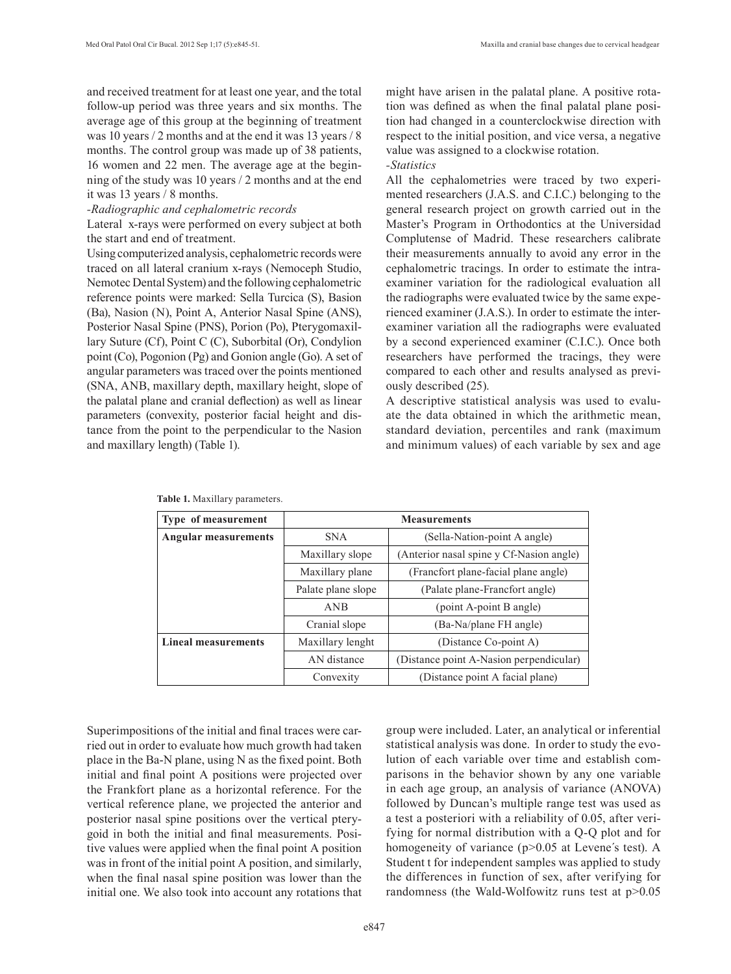and received treatment for at least one year, and the total follow-up period was three years and six months. The average age of this group at the beginning of treatment was 10 years / 2 months and at the end it was 13 years / 8 months. The control group was made up of 38 patients, 16 women and 22 men. The average age at the beginning of the study was 10 years / 2 months and at the end it was 13 years / 8 months.

# *-Radiographic and cephalometric records*

Lateral x-rays were performed on every subject at both the start and end of treatment.

Using computerized analysis, cephalometric records were traced on all lateral cranium x-rays (Nemoceph Studio, Nemotec Dental System) and the following cephalometric reference points were marked: Sella Turcica (S), Basion (Ba), Nasion (N), Point A, Anterior Nasal Spine (ANS), Posterior Nasal Spine (PNS), Porion (Po), Pterygomaxillary Suture (Cf), Point C (C), Suborbital (Or), Condylion point (Co), Pogonion (Pg) and Gonion angle (Go). A set of angular parameters was traced over the points mentioned (SNA, ANB, maxillary depth, maxillary height, slope of the palatal plane and cranial deflection) as well as linear parameters (convexity, posterior facial height and distance from the point to the perpendicular to the Nasion and maxillary length) (Table 1).

might have arisen in the palatal plane. A positive rotation was defined as when the final palatal plane position had changed in a counterclockwise direction with respect to the initial position, and vice versa, a negative value was assigned to a clockwise rotation. *-Statistics*

All the cephalometries were traced by two experimented researchers (J.A.S. and C.I.C.) belonging to the general research project on growth carried out in the Master's Program in Orthodontics at the Universidad Complutense of Madrid. These researchers calibrate their measurements annually to avoid any error in the cephalometric tracings. In order to estimate the intraexaminer variation for the radiological evaluation all the radiographs were evaluated twice by the same experienced examiner (J.A.S.). In order to estimate the interexaminer variation all the radiographs were evaluated by a second experienced examiner (C.I.C.). Once both researchers have performed the tracings, they were compared to each other and results analysed as previously described (25).

A descriptive statistical analysis was used to evaluate the data obtained in which the arithmetic mean, standard deviation, percentiles and rank (maximum and minimum values) of each variable by sex and age

| Type of measurement         | <b>Measurements</b> |                                          |  |  |  |
|-----------------------------|---------------------|------------------------------------------|--|--|--|
| <b>Angular measurements</b> | <b>SNA</b>          | (Sella-Nation-point A angle)             |  |  |  |
|                             | Maxillary slope     | (Anterior nasal spine y Cf-Nasion angle) |  |  |  |
|                             | Maxillary plane     | (Francfort plane-facial plane angle)     |  |  |  |
|                             | Palate plane slope  | (Palate plane-Francfort angle)           |  |  |  |
|                             | <b>ANB</b>          | (point A-point B angle)                  |  |  |  |
|                             | Cranial slope       | (Ba-Na/plane FH angle)                   |  |  |  |
| <b>Lineal measurements</b>  | Maxillary lenght    | (Distance Co-point A)                    |  |  |  |
|                             | AN distance         | (Distance point A-Nasion perpendicular)  |  |  |  |
|                             | Convexity           | (Distance point A facial plane)          |  |  |  |

|  |  |  | Table 1. Maxillary parameters. |
|--|--|--|--------------------------------|
|--|--|--|--------------------------------|

Superimpositions of the initial and final traces were carried out in order to evaluate how much growth had taken place in the Ba-N plane, using N as the fixed point. Both initial and final point A positions were projected over the Frankfort plane as a horizontal reference. For the vertical reference plane, we projected the anterior and posterior nasal spine positions over the vertical pterygoid in both the initial and final measurements. Positive values were applied when the final point A position was in front of the initial point A position, and similarly, when the final nasal spine position was lower than the initial one. We also took into account any rotations that

group were included. Later, an analytical or inferential statistical analysis was done. In order to study the evolution of each variable over time and establish comparisons in the behavior shown by any one variable in each age group, an analysis of variance (ANOVA) followed by Duncan's multiple range test was used as a test a posteriori with a reliability of 0.05, after verifying for normal distribution with a Q-Q plot and for homogeneity of variance (p>0.05 at Levene's test). A Student t for independent samples was applied to study the differences in function of sex, after verifying for randomness (the Wald-Wolfowitz runs test at p>0.05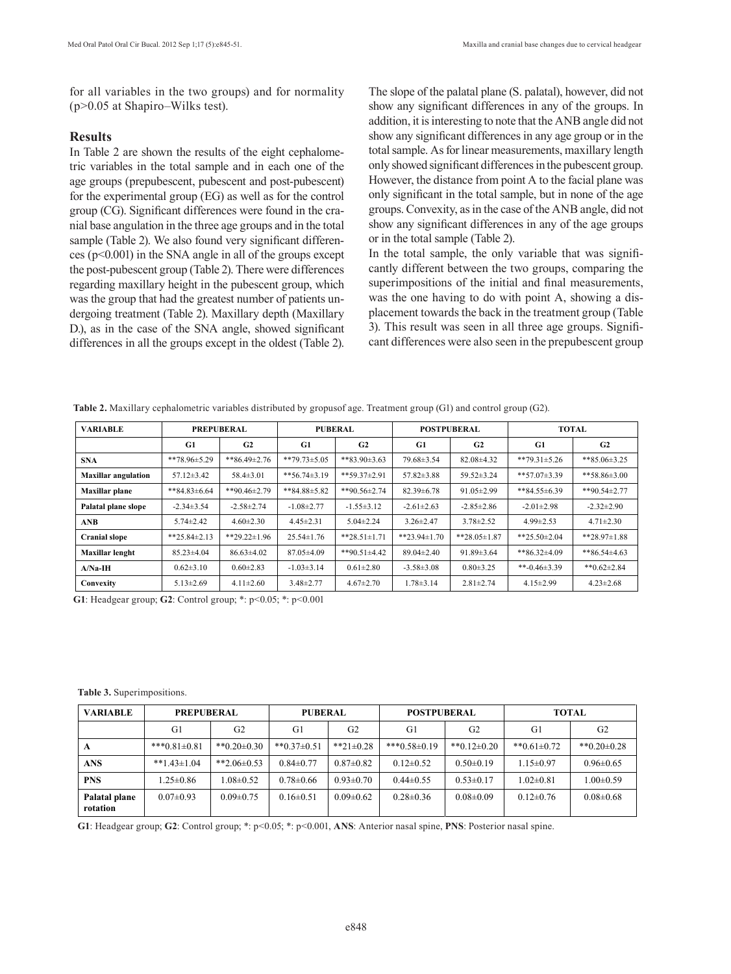for all variables in the two groups) and for normality (p>0.05 at Shapiro–Wilks test).

## **Results**

In Table 2 are shown the results of the eight cephalometric variables in the total sample and in each one of the age groups (prepubescent, pubescent and post-pubescent) for the experimental group (EG) as well as for the control group (CG). Significant differences were found in the cranial base angulation in the three age groups and in the total sample (Table 2). We also found very significant differences (p<0.001) in the SNA angle in all of the groups except the post-pubescent group (Table 2). There were differences regarding maxillary height in the pubescent group, which was the group that had the greatest number of patients undergoing treatment (Table 2). Maxillary depth (Maxillary D.), as in the case of the SNA angle, showed significant differences in all the groups except in the oldest (Table 2).

The slope of the palatal plane (S. palatal), however, did not show any significant differences in any of the groups. In addition, it is interesting to note that the ANB angle did not show any significant differences in any age group or in the total sample. As for linear measurements, maxillary length only showed significant differences in the pubescent group. However, the distance from point A to the facial plane was only significant in the total sample, but in none of the age groups. Convexity, as in the case of the ANB angle, did not show any significant differences in any of the age groups or in the total sample (Table 2).

In the total sample, the only variable that was significantly different between the two groups, comparing the superimpositions of the initial and final measurements, was the one having to do with point A, showing a displacement towards the back in the treatment group (Table 3). This result was seen in all three age groups. Significant differences were also seen in the prepubescent group

| <b>VARIABLE</b>            |                    | <b>PREPUBERAL</b>  | <b>PUBERAL</b>     |                    | <b>POSTPUBERAL</b> |                   | <b>TOTAL</b>       |                         |
|----------------------------|--------------------|--------------------|--------------------|--------------------|--------------------|-------------------|--------------------|-------------------------|
|                            | G1                 | G2                 | G1                 | G2                 | G1                 | G2                | G1                 | G2                      |
| <b>SNA</b>                 | **78.96 $\pm$ 5.29 | **86.49 $\pm$ 2.76 | $**79.73 \pm 5.05$ | **83.90 $\pm$ 3.63 | 79.68 ± 3.54       | $82.08 \pm 4.32$  | $**79.31 \pm 5.26$ | **85.06 $\pm$ 3.25      |
| <b>Maxillar</b> angulation | $57.12 \pm 3.42$   | $58.4 \pm 3.01$    | $**56.74\pm3.19$   | $**59.37\pm2.91$   | $57.82 \pm 3.88$   | $59.52 \pm 3.24$  | $**57.07\pm3.39$   | $*58.86\pm3.00$         |
| <b>Maxillar plane</b>      | $*84.83\pm6.64$    | **90.46 $\pm$ 2.79 | $*84.88 \pm 5.82$  | **90.56 $\pm$ 2.74 | $82.39 \pm 6.78$   | $91.05 \pm 2.99$  | $*84.55\pm6.39$    | $**90.54 \pm 2.77$      |
| Palatal plane slope        | $-2.34 \pm 3.54$   | $-2.58 \pm 2.74$   | $-1.08 \pm 2.77$   | $-1.55 \pm 3.12$   | $-2.61 \pm 2.63$   | $-2.85 \pm 2.86$  | $-2.01 \pm 2.98$   | $-2.32 \pm 2.90$        |
| ANB                        | $5.74 \pm 2.42$    | $4.60 \pm 2.30$    | $4.45 \pm 2.31$    | $5.04 \pm 2.24$    | $3.26 \pm 2.47$    | $3.78 \pm 2.52$   | $4.99 \pm 2.53$    | $4.71 \pm 2.30$         |
| <b>Cranial slope</b>       | $*25.84 \pm 2.13$  | $*29.22 \pm 1.96$  | $25.54 \pm 1.76$   | $*$ *28.51±1.71    | $*23.94 \pm 1.70$  | $*28.05 \pm 1.87$ | $*25.50 \pm 2.04$  | $*28.97 \pm 1.88$       |
| Maxillar lenght            | $85.23 \pm 4.04$   | $86.63 \pm 4.02$   | 87.05 ± 4.09       | $**90.51 \pm 4.42$ | $89.04 \pm 2.40$   | $91.89 \pm 3.64$  | $*86.32 \pm 4.09$  | $*86.54\pm4.63$         |
| $A/Na$ -IH                 | $0.62 \pm 3.10$    | $0.60 \pm 2.83$    | $-1.03 \pm 3.14$   | $0.61 \pm 2.80$    | $-3.58 \pm 3.08$   | $0.80 \pm 3.25$   | **-0.46 $\pm$ 3.39 | $*$ $*$ 0.62 $\pm$ 2.84 |
| Convexity                  | $5.13 \pm 2.69$    | $4.11 \pm 2.60$    | $3.48 \pm 2.77$    | $4.67 \pm 2.70$    | $1.78 \pm 3.14$    | $2.81 \pm 2.74$   | $4.15 \pm 2.99$    | $4.23 \pm 2.68$         |

**Table 2.** Maxillary cephalometric variables distributed by gropusof age. Treatment group (G1) and control group (G2).

**G1**: Headgear group; **G2**: Control group; \*: p<0.05; \*: p<0.001

|  |  |  |  | Table 3. Superimpositions. |
|--|--|--|--|----------------------------|
|--|--|--|--|----------------------------|

| <b>VARIABLE</b>           | <b>PREPUBERAL</b> |                   | PUBERAL              |                 | <b>POSTPUBERAL</b> |                  | <b>TOTAL</b>       |                    |
|---------------------------|-------------------|-------------------|----------------------|-----------------|--------------------|------------------|--------------------|--------------------|
|                           | G1                | G <sub>2</sub>    | G1                   | G <sub>2</sub>  | G1                 | G2               | G1                 | G <sub>2</sub>     |
| A                         | *** $0.81\pm0.81$ | ** $0.20\pm0.30$  | $*$ *0.37 $\pm$ 0.51 | **21 $\pm$ 0.28 | *** $0.58\pm0.19$  | ** $0.12\pm0.20$ | ** $0.61 \pm 0.72$ | ** $0.20 \pm 0.28$ |
| <b>ANS</b>                | $**1.43 \pm 1.04$ | **2.06 $\pm$ 0.53 | $0.84\pm 0.77$       | $0.87 \pm 0.82$ | $0.12 \pm 0.52$    | $0.50 \pm 0.19$  | $1.15 \pm 0.97$    | $0.96 \pm 0.65$    |
| <b>PNS</b>                | $1.25 \pm 0.86$   | $.08\pm0.52$      | $0.78 \pm 0.66$      | $0.93 \pm 0.70$ | $0.44\pm 0.55$     | $0.53 \pm 0.17$  | $1.02 \pm 0.81$    | $1.00 \pm 0.59$    |
| Palatal plane<br>rotation | $0.07 \pm 0.93$   | $0.09 \pm 0.75$   | $0.16 \pm 0.51$      | $0.09\pm0.62$   | $0.28 \pm 0.36$    | $0.08 \pm 0.09$  | $0.12 \pm 0.76$    | $0.08 \pm 0.68$    |

**G1**: Headgear group; **G2**: Control group; \*: p<0.05; \*: p<0.001, **ANS**: Anterior nasal spine, **PNS**: Posterior nasal spine.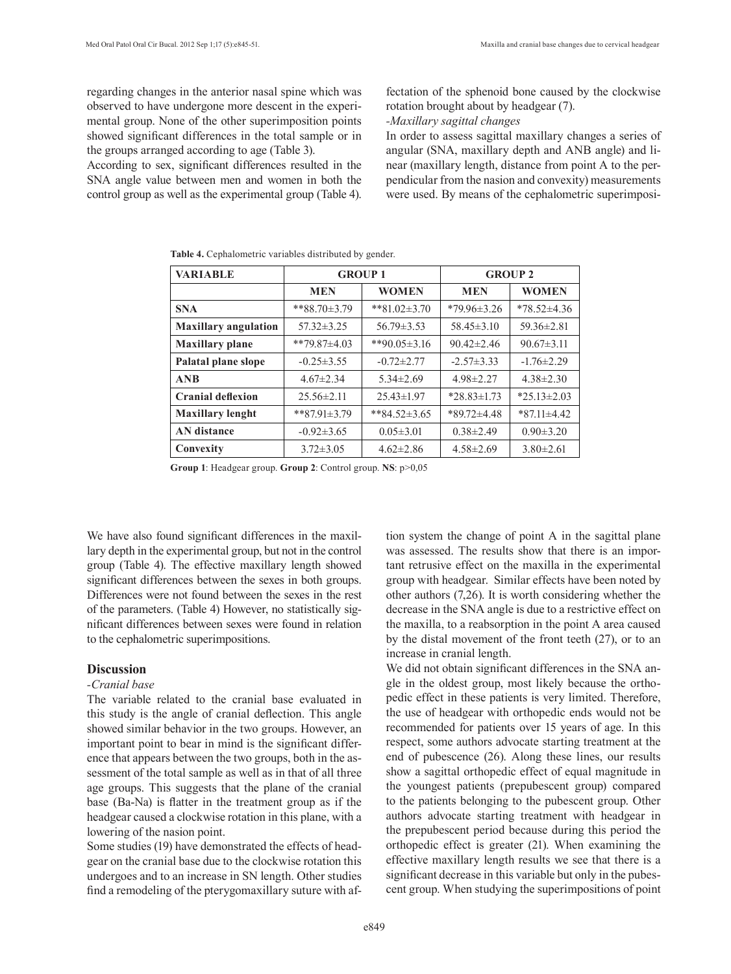regarding changes in the anterior nasal spine which was observed to have undergone more descent in the experimental group. None of the other superimposition points showed significant differences in the total sample or in the groups arranged according to age (Table 3).

According to sex, significant differences resulted in the SNA angle value between men and women in both the control group as well as the experimental group (Table 4).

fectation of the sphenoid bone caused by the clockwise rotation brought about by headgear (7).

*-Maxillary sagittal changes*

In order to assess sagittal maxillary changes a series of angular (SNA, maxillary depth and ANB angle) and linear (maxillary length, distance from point A to the perpendicular from the nasion and convexity) measurements were used. By means of the cephalometric superimposi-

| <b>VARIABLE</b>             | <b>GROUP 1</b>             |                    | <b>GROUP 2</b>    |                   |  |
|-----------------------------|----------------------------|--------------------|-------------------|-------------------|--|
|                             | <b>WOMEN</b><br><b>MEN</b> |                    | <b>MEN</b>        | <b>WOMEN</b>      |  |
| <b>SNA</b>                  | **88.70 $\pm$ 3.79         | $*81.02 \pm 3.70$  | $*79.96 \pm 3.26$ | $*78.52\pm4.36$   |  |
| <b>Maxillary angulation</b> | $57.32 \pm 3.25$           | $56.79 \pm 3.53$   | $58.45 \pm 3.10$  | $59.36 \pm 2.81$  |  |
| <b>Maxillary plane</b>      | **79.87 $\pm$ 4.03         | **90.05 $\pm$ 3.16 | $90.42 \pm 2.46$  | $90.67 \pm 3.11$  |  |
| Palatal plane slope         | $-0.25 \pm 3.55$           | $-0.72 \pm 2.77$   | $-2.57\pm3.33$    | $-1.76\pm2.29$    |  |
| <b>ANB</b>                  | $4.67 \pm 2.34$            | $5.34 \pm 2.69$    | $4.98 \pm 2.27$   | $4.38 \pm 2.30$   |  |
| <b>Cranial deflexion</b>    | $25.56 \pm 2.11$           | $25.43 \pm 1.97$   | $*28.83 \pm 1.73$ | $*25.13 \pm 2.03$ |  |
| <b>Maxillary lenght</b>     | $*87.91 \pm 3.79$          | **84.52 $\pm$ 3.65 | $*89.72 \pm 4.48$ | $*87.11 \pm 4.42$ |  |
| <b>AN</b> distance          | $-0.92 \pm 3.65$           | $0.05 \pm 3.01$    | $0.38 \pm 2.49$   | $0.90 \pm 3.20$   |  |
| Convexity                   | $3.72 \pm 3.05$            | $4.62 \pm 2.86$    | $4.58 \pm 2.69$   | $3.80 \pm 2.61$   |  |

**Table 4.** Cephalometric variables distributed by gender.

**Group 1**: Headgear group. **Group 2**: Control group. **NS**: p>0,05

We have also found significant differences in the maxillary depth in the experimental group, but not in the control group (Table 4). The effective maxillary length showed significant differences between the sexes in both groups. Differences were not found between the sexes in the rest of the parameters. (Table 4) However, no statistically significant differences between sexes were found in relation to the cephalometric superimpositions.

## **Discussion**

#### *-Cranial base*

The variable related to the cranial base evaluated in this study is the angle of cranial deflection. This angle showed similar behavior in the two groups. However, an important point to bear in mind is the significant difference that appears between the two groups, both in the assessment of the total sample as well as in that of all three age groups. This suggests that the plane of the cranial base (Ba-Na) is flatter in the treatment group as if the headgear caused a clockwise rotation in this plane, with a lowering of the nasion point.

Some studies (19) have demonstrated the effects of headgear on the cranial base due to the clockwise rotation this undergoes and to an increase in SN length. Other studies find a remodeling of the pterygomaxillary suture with aftion system the change of point A in the sagittal plane was assessed. The results show that there is an important retrusive effect on the maxilla in the experimental group with headgear. Similar effects have been noted by other authors (7,26). It is worth considering whether the decrease in the SNA angle is due to a restrictive effect on the maxilla, to a reabsorption in the point A area caused by the distal movement of the front teeth (27), or to an increase in cranial length.

We did not obtain significant differences in the SNA angle in the oldest group, most likely because the orthopedic effect in these patients is very limited. Therefore, the use of headgear with orthopedic ends would not be recommended for patients over 15 years of age. In this respect, some authors advocate starting treatment at the end of pubescence (26). Along these lines, our results show a sagittal orthopedic effect of equal magnitude in the youngest patients (prepubescent group) compared to the patients belonging to the pubescent group. Other authors advocate starting treatment with headgear in the prepubescent period because during this period the orthopedic effect is greater (21). When examining the effective maxillary length results we see that there is a significant decrease in this variable but only in the pubescent group. When studying the superimpositions of point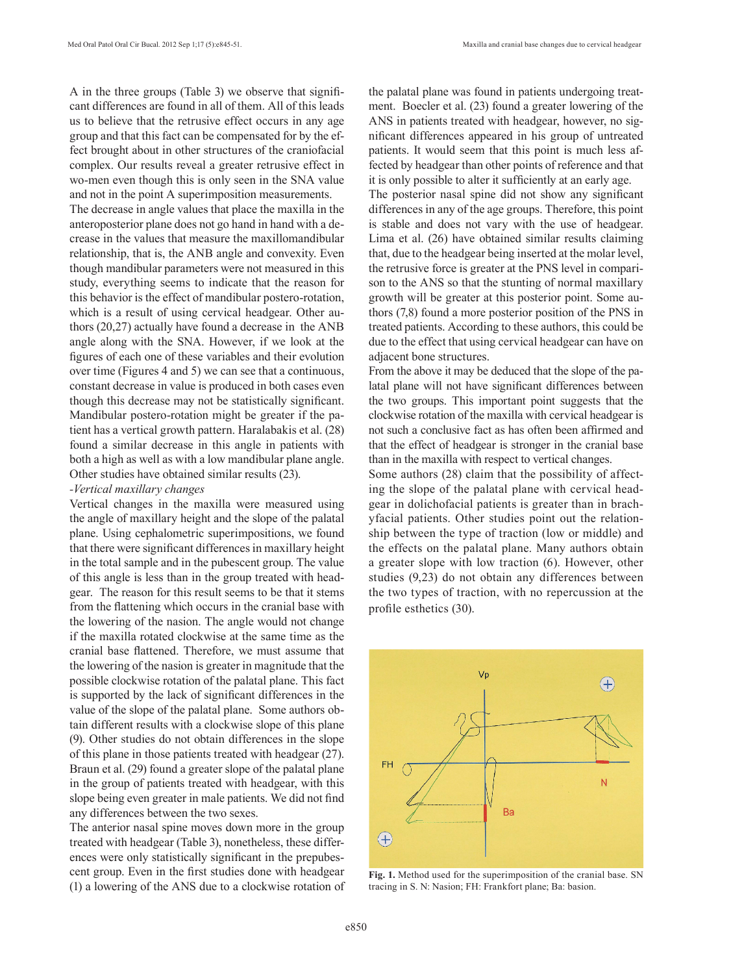A in the three groups (Table 3) we observe that significant differences are found in all of them. All of this leads us to believe that the retrusive effect occurs in any age group and that this fact can be compensated for by the effect brought about in other structures of the craniofacial complex. Our results reveal a greater retrusive effect in wo-men even though this is only seen in the SNA value and not in the point A superimposition measurements.

The decrease in angle values that place the maxilla in the anteroposterior plane does not go hand in hand with a decrease in the values that measure the maxillomandibular relationship, that is, the ANB angle and convexity. Even though mandibular parameters were not measured in this study, everything seems to indicate that the reason for this behavior is the effect of mandibular postero-rotation, which is a result of using cervical headgear. Other authors (20,27) actually have found a decrease in the ANB angle along with the SNA. However, if we look at the figures of each one of these variables and their evolution over time (Figures 4 and 5) we can see that a continuous, constant decrease in value is produced in both cases even though this decrease may not be statistically significant. Mandibular postero-rotation might be greater if the patient has a vertical growth pattern. Haralabakis et al. (28) found a similar decrease in this angle in patients with both a high as well as with a low mandibular plane angle. Other studies have obtained similar results (23).

## *-Vertical maxillary changes*

Vertical changes in the maxilla were measured using the angle of maxillary height and the slope of the palatal plane. Using cephalometric superimpositions, we found that there were significant differences in maxillary height in the total sample and in the pubescent group. The value of this angle is less than in the group treated with headgear. The reason for this result seems to be that it stems from the flattening which occurs in the cranial base with the lowering of the nasion. The angle would not change if the maxilla rotated clockwise at the same time as the cranial base flattened. Therefore, we must assume that the lowering of the nasion is greater in magnitude that the possible clockwise rotation of the palatal plane. This fact is supported by the lack of significant differences in the value of the slope of the palatal plane. Some authors obtain different results with a clockwise slope of this plane (9). Other studies do not obtain differences in the slope of this plane in those patients treated with headgear (27). Braun et al. (29) found a greater slope of the palatal plane in the group of patients treated with headgear, with this slope being even greater in male patients. We did not find any differences between the two sexes.

The anterior nasal spine moves down more in the group treated with headgear (Table 3), nonetheless, these differences were only statistically significant in the prepubescent group. Even in the first studies done with headgear (1) a lowering of the ANS due to a clockwise rotation of the palatal plane was found in patients undergoing treatment. Boecler et al. (23) found a greater lowering of the ANS in patients treated with headgear, however, no significant differences appeared in his group of untreated patients. It would seem that this point is much less affected by headgear than other points of reference and that it is only possible to alter it sufficiently at an early age.

The posterior nasal spine did not show any significant differences in any of the age groups. Therefore, this point is stable and does not vary with the use of headgear. Lima et al. (26) have obtained similar results claiming that, due to the headgear being inserted at the molar level, the retrusive force is greater at the PNS level in comparison to the ANS so that the stunting of normal maxillary growth will be greater at this posterior point. Some authors (7,8) found a more posterior position of the PNS in treated patients. According to these authors, this could be due to the effect that using cervical headgear can have on adjacent bone structures.

From the above it may be deduced that the slope of the palatal plane will not have significant differences between the two groups. This important point suggests that the clockwise rotation of the maxilla with cervical headgear is not such a conclusive fact as has often been affirmed and that the effect of headgear is stronger in the cranial base than in the maxilla with respect to vertical changes.

Some authors (28) claim that the possibility of affecting the slope of the palatal plane with cervical headgear in dolichofacial patients is greater than in brachyfacial patients. Other studies point out the relationship between the type of traction (low or middle) and the effects on the palatal plane. Many authors obtain a greater slope with low traction (6). However, other studies (9,23) do not obtain any differences between the two types of traction, with no repercussion at the profile esthetics (30).



**Fig. 1.** Method used for the superimposition of the cranial base. SN tracing in S. N: Nasion; FH: Frankfort plane; Ba: basion.